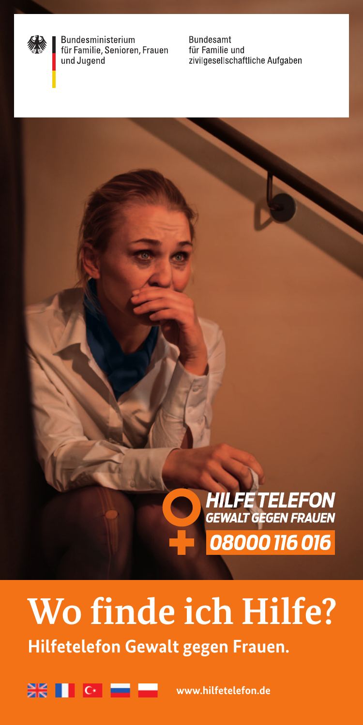

Bundesministerium für Familie, Senioren, Frauen und Jugend

**Bundesamt** für Familie und zivilgesellschaftliche Aufgaben



# **Wo finde ich Hilfe? Hilfetelefon Gewalt gegen Frauen.**



**www.hilfetelefon.de**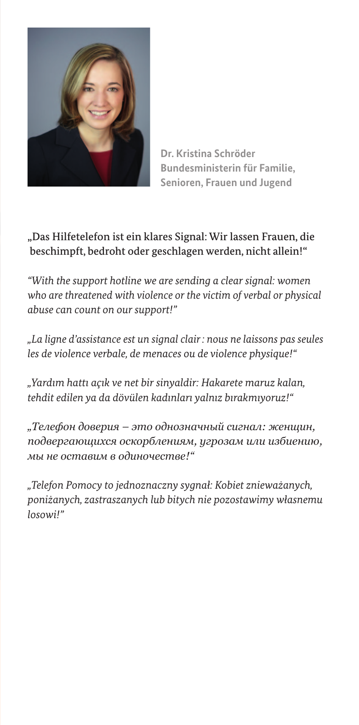

**Dr. Kristina Schröder Bundesministerin für Familie, Senioren, Frauen und Jugend**

### "Das Hilfetelefon ist ein klares Signal: Wir lassen Frauen, die beschimpft, bedroht oder geschlagen werden, nicht allein!"

*"With the support hotline we are sending a clear signal: women who are threatened with violence or the victim of verbal or physical abuse can count on our support!"*

*"La ligne d'assistance est un signal clair : nous ne laissons pas seules les de violence verbale, de menaces ou de violence physique!"*

*"Yardım hattı açık ve net bir sinyaldir: Hakarete maruz kalan, tehdit edilen ya da dövülen kadınları yalnız bırakmıyoruz!"*

*"Телефон доверия – это однозначный сигнал: женщин, подвергающихся оскорблениям, угрозам или избиению, мы не оставим в одиночестве!"*

*"Telefon Pomocy to jednoznaczny sygnał: Kobiet znieważanych, poniżanych, zastraszanych lub bitych nie pozostawimy własnemu losowi!"*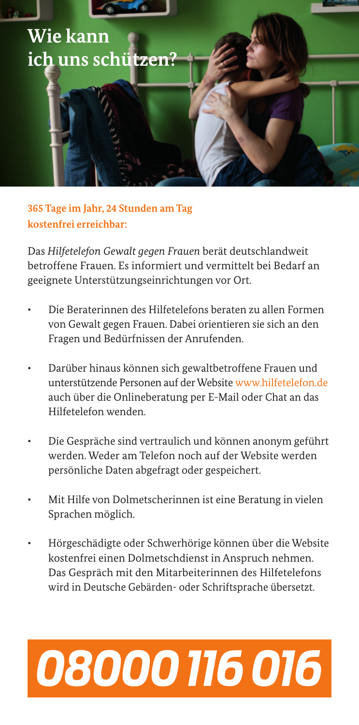

**365 Tage im Jahr, 24 Stunden am Tag kostenfrei erreichbar:** 

Das *Hilfetelefon Gewalt gegen Frauen* berät deutschlandweit betroffene Frauen. Es informiert und vermittelt bei Bedarf an geeignete Unterstützungseinrichtungen vor Ort.

- Die Beraterinnen des Hilfetelefons beraten zu allen Formen von Gewalt gegen Frauen. Dabei orientieren sie sich an den Fragen und Bedürfnissen der Anrufenden.
- Darüber hinaus können sich gewaltbetroffene Frauen und unterstützende Personen auf der Website www.hilfetelefon.de auch über die Onlineberatung per E-Mail oder Chat an das Hilfetelefon wenden.
- Die Gespräche sind vertraulich und können anonym geführt werden. Weder am Telefon noch auf der Website werden persönliche Daten abgefragt oder gespeichert.
- Mit Hilfe von Dolmetscherinnen ist eine Beratung in vielen Sprachen möglich.
- Hörgeschädigte oder Schwerhörige können über die Website kostenfrei einen Dolmetschdienst in Anspruch nehmen. Das Gespräch mit den Mitarbeiterinnen des Hilfetelefons wird in Deutsche Gebärden- oder Schriftsprache übersetzt.

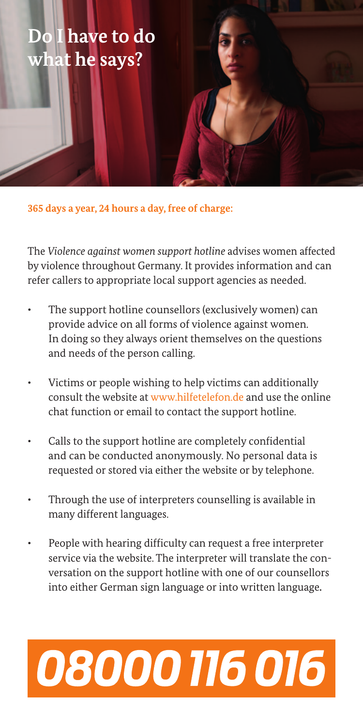## **Do I have to do what he says?**

**365 days a year, 24 hours a day, free of charge:**

The *Violence against women support hotline* advises women affected by violence throughout Germany. It provides information and can refer callers to appropriate local support agencies as needed.

- The support hotline counsellors (exclusively women) can provide advice on all forms of violence against women. In doing so they always orient themselves on the questions and needs of the person calling.
- Victims or people wishing to help victims can additionally consult the website at www.hilfetelefon.de and use the online chat function or email to contact the support hotline.
- Calls to the support hotline are completely confidential and can be conducted anonymously. No personal data is requested or stored via either the website or by telephone.
- Through the use of interpreters counselling is available in many different languages.
- People with hearing difficulty can request a free interpreter service via the website. The interpreter will translate the conversation on the support hotline with one of our counsellors into either German sign language or into written language**.**

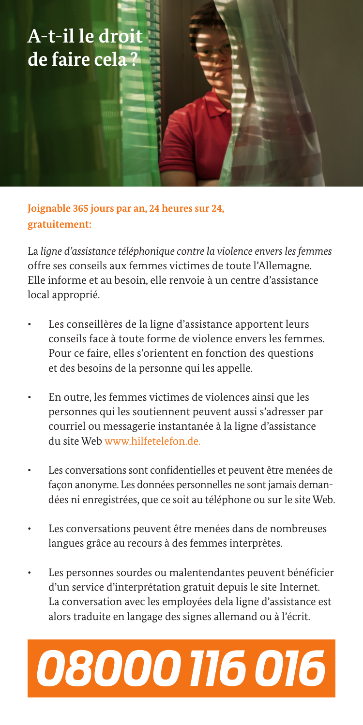## **A-t-il le droit de faire cela ?**

**Joignable 365 jours par an, 24 heures sur 24, gratuitement:** 

La *ligne d'assistance téléphonique contre la violence envers les femmes* offre ses conseils aux femmes victimes de toute l'Allemagne. Elle informe et au besoin, elle renvoie à un centre d'assistance local approprié.

- Les conseillères de la ligne d'assistance apportent leurs conseils face à toute forme de violence envers les femmes. Pour ce faire, elles s'orientent en fonction des questions et des besoins de la personne qui les appelle.
- En outre, les femmes victimes de violences ainsi que les personnes qui les soutiennent peuvent aussi s'adresser par courriel ou messagerie instantanée à la ligne d'assistance du site Web www.hilfetelefon.de.
- Les conversations sont confidentielles et peuvent être menées de façon anonyme. Les données personnelles ne sont jamais demandées ni enregistrées, que ce soit au téléphone ou sur le site Web.
- Les conversations peuvent être menées dans de nombreuses langues grâce au recours à des femmes interprètes.
- Les personnes sourdes ou malentendantes peuvent bénéficier d'un service d'interprétation gratuit depuis le site Internet. La conversation avec les employées dela ligne d'assistance est alors traduite en langage des signes allemand ou à l'écrit.

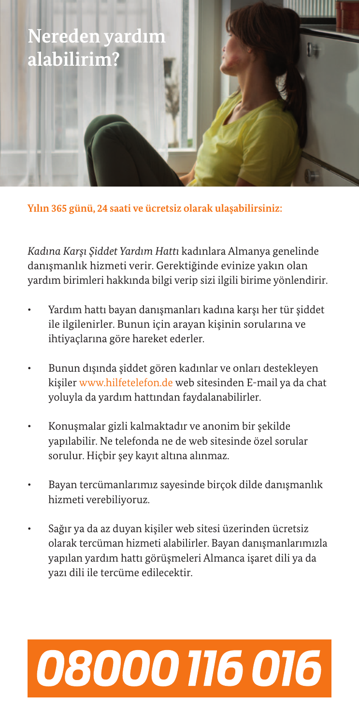

**Yılın 365 günü, 24 saati ve ücretsiz olarak ulaşabilirsiniz:**

*Kadına Karşı Şiddet Yardım Hattı* kadınlara Almanya genelinde danışmanlık hizmeti verir. Gerektiğinde evinize yakın olan yardım birimleri hakkında bilgi verip sizi ilgili birime yönlendirir.

- Yardım hattı bayan danışmanları kadına karşı her tür siddet ile ilgilenirler. Bunun için arayan kişinin sorularına ve ihtiyaçlarına göre hareket ederler.
- Bunun dışında şiddet gören kadınlar ve onları destekleyen kişiler www.hilfetelefon.de web sitesinden E-mail ya da chat yoluyla da yardım hattından faydalanabilirler.
- Konuşmalar gizli kalmaktadır ve anonim bir şekilde yapılabilir. Ne telefonda ne de web sitesinde özel sorular sorulur. Hiçbir şey kayıt altına alınmaz.
- Bayan tercümanlarımız sayesinde birçok dilde danışmanlık hizmeti verebiliyoruz.
- Sağır ya da az duyan kişiler web sitesi üzerinden ücretsiz olarak tercüman hizmeti alabilirler. Bayan danışmanlarımızla yapılan yardım hattı görüşmeleri Almanca işaret dili ya da yazı dili ile tercüme edilecektir.

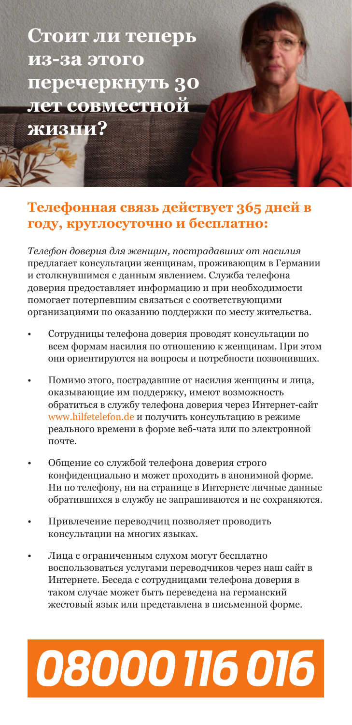**Стоит ли теперь из-за этого перечеркнуть 30 лет совместной** 

**жизни?**

### **Телефонная связь действует 365 дней в году, круглосуточно и бесплатно:**

*Телефон доверия для женщин, пострадавших от насилия*  предлагает консультации женщинам, проживающим в Германии и столкнувшимся с данным явлением. Служба телефона доверия предоставляет информацию и при необходимости помогает потерпевшим связаться с соответствующими организациями по оказанию поддержки по месту жительства.

- Сотрудницы телефона доверия проводят консультации по всем формам насилия по отношению к женщинам. При этом они ориентируются на вопросы и потребности позвонивших.
- Помимо этого, пострадавшие от насилия женщины и лица, оказывающие им поддержку, имеют возможность обратиться в службу телефона доверия через Интернет-сайт www.hilfetelefon.de и получить консультацию в режиме реального времени в форме веб-чата или по электронной почте.
- Общение со службой телефона доверия строго конфиденциально и может проходить в анонимной форме. Ни по телефону, ни на странице в Интернете личные данные обратившихся в службу не запрашиваются и не сохраняются.
- Привлечение переводчиц позволяет проводить консультации на многих языках.
- Лица с ограниченным слухом могут бесплатно воспользоваться услугами переводчиков через наш сайт в Интернете. Беседа с сотрудницами телефона доверия в таком случае может быть переведена на германский жестовый язык или представлена в письменной форме.

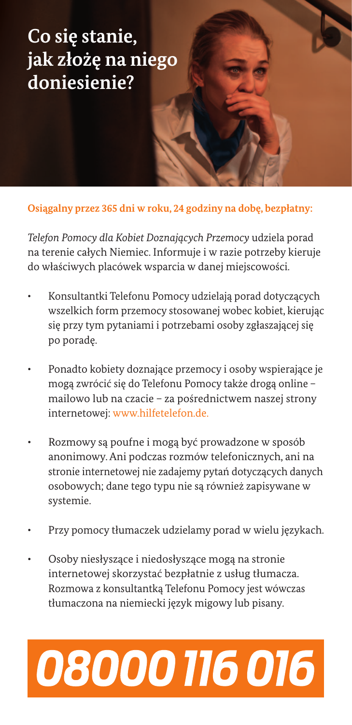## **Co się stanie, jak złożę na niego doniesienie?**

**Osiągalny przez 365 dni w roku, 24 godziny na dobę, bezpłatny:**

*Telefon Pomocy dla Kobiet Doznających Przemocy* udziela porad na terenie całych Niemiec. Informuje i w razie potrzeby kieruje do właściwych placówek wsparcia w danej miejscowości.

- Konsultantki Telefonu Pomocy udzielają porad dotyczących wszelkich form przemocy stosowanej wobec kobiet, kierując się przy tym pytaniami i potrzebami osoby zgłaszającej się po poradę.
- Ponadto kobiety doznające przemocy i osoby wspierające je mogą zwrócić się do Telefonu Pomocy także drogą online – mailowo lub na czacie – za pośrednictwem naszej strony internetowej: www.hilfetelefon.de.
- Rozmowy są poufne i mogą być prowadzone w sposób anonimowy. Ani podczas rozmów telefonicznych, ani na stronie internetowej nie zadajemy pytań dotyczących danych osobowych; dane tego typu nie są również zapisywane w systemie.
- Przy pomocy tłumaczek udzielamy porad w wielu językach.
- Osoby niesłyszące i niedosłyszące mogą na stronie internetowej skorzystać bezpłatnie z usług tłumacza. Rozmowa z konsultantką Telefonu Pomocy jest wówczas tłumaczona na niemiecki język migowy lub pisany.

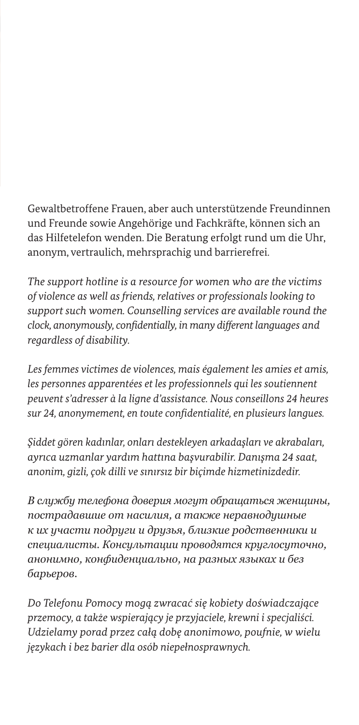Gewaltbetroffene Frauen, aber auch unterstützende Freundinnen und Freunde sowie Angehörige und Fachkräfte, können sich an das Hilfetelefon wenden. Die Beratung erfolgt rund um die Uhr, anonym, vertraulich, mehrsprachig und barrierefrei.

*The support hotline is a resource for women who are the victims of violence as well as friends, relatives or professionals looking to support such women. Counselling services are available round the clock, anonymously, confidentially, in many different languages and regardless of disability.*

*Les femmes victimes de violences, mais également les amies et amis, les personnes apparentées et les professionnels qui les soutiennent peuvent s'adresser à la ligne d'assistance. Nous conseillons 24 heures sur 24, anonymement, en toute confidentialité, en plusieurs langues.*

*Şiddet gören kadınlar, onları destekleyen arkadaşları ve akrabaları, ayrıca uzmanlar yardım hattına başvurabilir. Danışma 24 saat, anonim, gizli, çok dilli ve sınırsız bir biçimde hizmetinizdedir.*

*В службу телефона доверия могут обращаться женщины, пострадавшие от насилия, а также неравнодушные к их участи подруги и друзья, близкие родственники и специалисты. Консультации проводятся круглосуточно, анонимно, конфиденциально, на разных языках и без барьеров.*

*Do Telefonu Pomocy mogą zwracać się kobiety doświadczające przemocy, a także wspierający je przyjaciele, krewni i specjaliści. Udzielamy porad przez całą dobę anonimowo, poufnie, w wielu językach i bez barier dla osób niepełnosprawnych.*